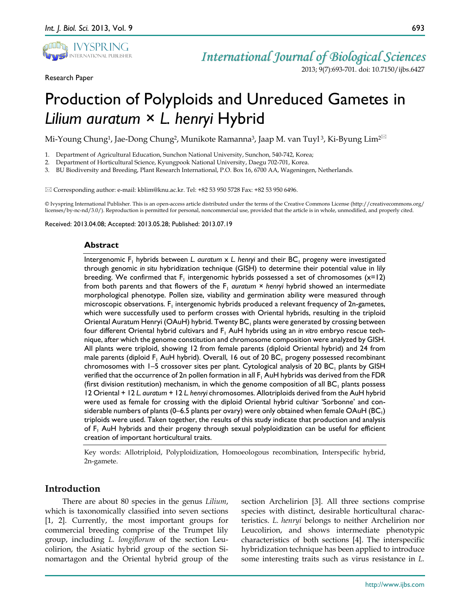

Research Paper

# *International Journal of Biological Sciences*

2013; 9(7):693-701. doi: 10.7150/ijbs.6427

# Production of Polyploids and Unreduced Gametes in *Lilium auratum* × *L. henryi* Hybrid

Mi-Young Chung<sup>1</sup>, Jae-Dong Chung<sup>2</sup>, Munikote Ramanna<sup>3</sup>, Jaap M. van Tuyl<sup>3</sup>, Ki-Byung Lim<sup>2⊠</sup>

1. Department of Agricultural Education, Sunchon National University, Sunchon, 540-742, Korea;

2. Department of Horticultural Science, Kyungpook National University, Daegu 702-701, Korea.

3. BU Biodiversity and Breeding, Plant Research International, P.O. Box 16, 6700 AA, Wageningen, Netherlands.

 $\boxtimes$  Corresponding author: e-mail: kblim@knu.ac.kr. Tel: +82 53 950 5728 Fax: +82 53 950 6496.

© Ivyspring International Publisher. This is an open-access article distributed under the terms of the Creative Commons License (http://creativecommons.org/ licenses/by-nc-nd/3.0/). Reproduction is permitted for personal, noncommercial use, provided that the article is in whole, unmodified, and properly cited.

Received: 2013.04.08; Accepted: 2013.05.28; Published: 2013.07.19

# **Abstract**

Intergenomic F<sub>1</sub> hybrids between *L. auratum* x *L. henryi* and their BC<sub>1</sub> progeny were investigated through genomic *in situ* hybridization technique (GISH) to determine their potential value in lily breeding. We confirmed that  $F_1$  intergenomic hybrids possessed a set of chromosomes ( $x=12$ ) from both parents and that flowers of the  $F_1$  *auratum*  $\times$  *henryi* hybrid showed an intermediate morphological phenotype. Pollen size, viability and germination ability were measured through microscopic observations.  $F_1$  intergenomic hybrids produced a relevant frequency of 2n-gametes, which were successfully used to perform crosses with Oriental hybrids, resulting in the triploid Oriental Auratum Henryi (OAuH) hybrid. Twenty  $BC_1$  plants were generated by crossing between four different Oriental hybrid cultivars and F<sub>1</sub> AuH hybrids using an *in vitro* embryo rescue technique, after which the genome constitution and chromosome composition were analyzed by GISH. All plants were triploid, showing 12 from female parents (diploid Oriental hybrid) and 24 from male parents (diploid  $F_1$  AuH hybrid). Overall, 16 out of 20 BC<sub>1</sub> progeny possessed recombinant chromosomes with  $1-5$  crossover sites per plant. Cytological analysis of 20 BC<sub>1</sub> plants by GISH verified that the occurrence of 2n pollen formation in all  $F_1$  AuH hybrids was derived from the FDR (first division restitution) mechanism, in which the genome composition of all  $BC_1$  plants possess 12 Oriental + 12 *L. auratum* + 12 *L. henryi* chromosomes. Allotriploids derived from the AuH hybrid were used as female for crossing with the diploid Oriental hybrid cultivar 'Sorbonne' and considerable numbers of plants (0–6.5 plants per ovary) were only obtained when female  $OAuH$  (BC<sub>1</sub>) triploids were used. Taken together, the results of this study indicate that production and analysis of  $F_1$  AuH hybrids and their progeny through sexual polyploidization can be useful for efficient creation of important horticultural traits.

Key words: Allotriploid, Polyploidization, Homoeologous recombination, Interspecific hybrid, 2n-gamete.

# **Introduction**

There are about 80 species in the genus *Lilium*, which is taxonomically classified into seven sections [1, 2]. Currently, the most important groups for commercial breeding comprise of the Trumpet lily group, including *L. longiflorum* of the section Leucolirion, the Asiatic hybrid group of the section Sinomartagon and the Oriental hybrid group of the

section Archelirion [3]. All three sections comprise species with distinct, desirable horticultural characteristics. *L. henryi* belongs to neither Archelirion nor Leucolirion, and shows intermediate phenotypic characteristics of both sections [4]. The interspecific hybridization technique has been applied to introduce some interesting traits such as virus resistance in *L.*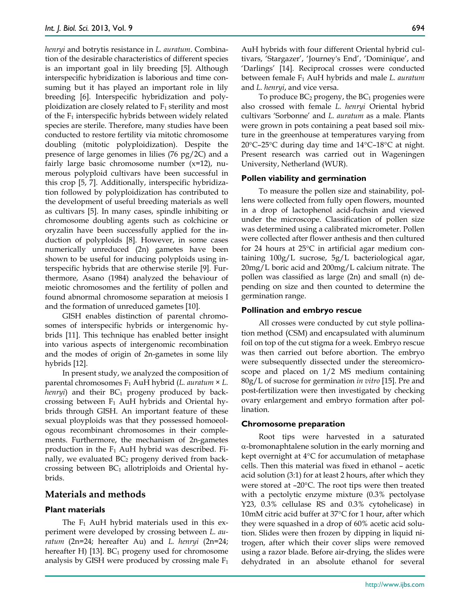*henryi* and botrytis resistance in *L. auratum*. Combination of the desirable characteristics of different species is an important goal in lily breeding [5]. Although interspecific hybridization is laborious and time consuming but it has played an important role in lily breeding [6]. Interspecific hybridization and polyploidization are closely related to  $F_1$  sterility and most of the F1 interspecific hybrids between widely related species are sterile. Therefore, many studies have been conducted to restore fertility via mitotic chromosome doubling (mitotic polyploidization). Despite the presence of large genomes in lilies (76 pg/2C) and a fairly large basic chromosome number  $(x=12)$ , numerous polyploid cultivars have been successful in this crop [5, 7]. Additionally, interspecific hybridization followed by polyploidization has contributed to the development of useful breeding materials as well as cultivars [5]. In many cases, spindle inhibiting or chromosome doubling agents such as colchicine or oryzalin have been successfully applied for the induction of polyploids [8]. However, in some cases numerically unreduced (2n) gametes have been shown to be useful for inducing polyploids using interspecific hybrids that are otherwise sterile [9]. Furthermore, Asano (1984) analyzed the behaviour of meiotic chromosomes and the fertility of pollen and found abnormal chromosome separation at meiosis I and the formation of unreduced gametes [10].

GISH enables distinction of parental chromosomes of interspecific hybrids or intergenomic hybrids [11]. This technique has enabled better insight into various aspects of intergenomic recombination and the modes of origin of 2n-gametes in some lily hybrids [12].

In present study, we analyzed the composition of parental chromosomes F1 AuH hybrid (*L. auratum* × *L. henryi*) and their  $BC_1$  progeny produced by backcrossing between  $F_1$  AuH hybrids and Oriental hybrids through GISH. An important feature of these sexual ployploids was that they possessed homoeologous recombinant chromosomes in their complements. Furthermore, the mechanism of 2n-gametes production in the  $F_1$  AuH hybrid was described. Finally, we evaluated  $BC_2$  progeny derived from backcrossing between  $BC_1$  allotriploids and Oriental hybrids.

# **Materials and methods**

# **Plant materials**

The F1 AuH hybrid materials used in this experiment were developed by crossing between *L. auratum* (2n=24; hereafter Au) and *L. henryi* (2n=24; hereafter H) [13].  $BC_1$  progeny used for chromosome analysis by GISH were produced by crossing male  $F_1$  AuH hybrids with four different Oriental hybrid cultivars, 'Stargazer', 'Journey's End', 'Dominique', and 'Darlings' [14]. Reciprocal crosses were conducted between female F1 AuH hybrids and male *L. auratum* and *L. henryi*, and vice versa.

To produce  $BC_2$  progeny, the  $BC_1$  progenies were also crossed with female *L. henryi* Oriental hybrid cultivars 'Sorbonne' and *L. auratum* as a male. Plants were grown in pots containing a peat based soil mixture in the greenhouse at temperatures varying from 20°C–25°C during day time and 14°C–18°C at night. Present research was carried out in Wageningen University, Netherland (WUR).

#### **Pollen viability and germination**

To measure the pollen size and stainability, pollens were collected from fully open flowers, mounted in a drop of lactophenol acid-fuchsin and viewed under the microscope. Classification of pollen size was determined using a calibrated micrometer. Pollen were collected after flower anthesis and then cultured for 24 hours at 25°C in artificial agar medium containing 100g/L sucrose, 5g/L bacteriological agar, 20mg/L boric acid and 200mg/L calcium nitrate. The pollen was classified as large (2n) and small (n) depending on size and then counted to determine the germination range.

## **Pollination and embryo rescue**

All crosses were conducted by cut style pollination method (CSM) and encapsulated with aluminum foil on top of the cut stigma for a week. Embryo rescue was then carried out before abortion. The embryo were subsequently dissected under the stereomicroscope and placed on 1/2 MS medium containing 80g/L of sucrose for germination *in vitro* [15]. Pre and post-fertilization were then investigated by checking ovary enlargement and embryo formation after pollination.

#### **Chromosome preparation**

Root tips were harvested in a saturated α-bromonaphtalene solution in the early morning and kept overnight at 4°C for accumulation of metaphase cells. Then this material was fixed in ethanol – acetic acid solution (3:1) for at least 2 hours, after which they were stored at –20°C. The root tips were then treated with a pectolytic enzyme mixture (0.3% pectolyase Y23, 0.3% cellulase RS and 0.3% cytohelicase) in 10mM citric acid buffer at 37°C for 1 hour, after which they were squashed in a drop of 60% acetic acid solution. Slides were then frozen by dipping in liquid nitrogen, after which their cover slips were removed using a razor blade. Before air-drying, the slides were dehydrated in an absolute ethanol for several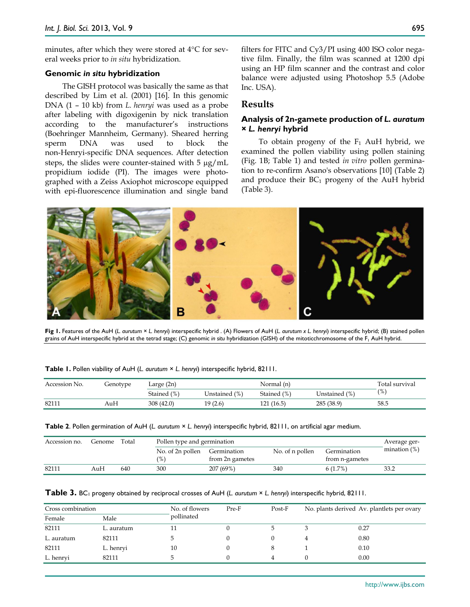minutes, after which they were stored at 4°C for several weeks prior to *in situ* hybridization.

#### **Genomic** *in situ* **hybridization**

The GISH protocol was basically the same as that described by Lim et al. (2001) [16]. In this genomic DNA (1 – 10 kb) from *L. henryi* was used as a probe after labeling with digoxigenin by nick translation according to the manufacturer's instructions (Boehringer Mannheim, Germany). Sheared herring sperm DNA was used to block the non-Henryi-specific DNA sequences. After detection steps, the slides were counter-stained with  $5 \mu g/mL$ propidium iodide (PI). The images were photographed with a Zeiss Axiophot microscope equipped with epi-fluorescence illumination and single band

filters for FITC and Cy3/PI using 400 ISO color negative film. Finally, the film was scanned at 1200 dpi using an HP film scanner and the contrast and color balance were adjusted using Photoshop 5.5 (Adobe Inc. USA).

# **Results**

# **Analysis of 2n-gamete production of** *L. auratum × L. henryi* **hybrid**

To obtain progeny of the  $F_1$  AuH hybrid, we examined the pollen viability using pollen staining (Fig. 1B; Table 1) and tested *in vitro* pollen germination to re-confirm Asano's observations [10] (Table 2) and produce their  $BC_1$  progeny of the AuH hybrid (Table 3).



**Fig 1.** Features of the AuH (*L. aurutum* × *L. henryi*) interspecific hybrid . (A) Flowers of AuH (*L. aurutum x L. henryi*) interspecific hybrid; (B) stained pollen grains of AuH interspecific hybrid at the tetrad stage; (C) genomic *in situ* hybridization (GISH) of the mitoticchromosome of the F1 AuH hybrid.

| Accession No. | Genotype | Large $(2n)$ | Normal (n)    |             |               |               |
|---------------|----------|--------------|---------------|-------------|---------------|---------------|
|               |          | Stained (%)  | Unstained (%) | Stained (%) | Unstained (%) | $\frac{9}{6}$ |
| 82111         | AuH      | 308(42.0)    | 19 (2.6)      | 121 (16.5)  | 285 (38.9)    | 58.5          |

**Table 2**. Pollen germination of AuH (*L. aurutum* × *L. henryi*) interspecific hybrid, 82111, on artificial agar medium.

| Accession no. | Genome | Total | Pollen type and germination       | Average ger-                   |                 |                                       |              |  |
|---------------|--------|-------|-----------------------------------|--------------------------------|-----------------|---------------------------------------|--------------|--|
|               |        |       | No. of 2n pollen<br>$\frac{9}{6}$ | Germination<br>from 2n gametes | No. of n pollen | Germination<br>from <i>n</i> -gametes | mination (%) |  |
| 82111         | AuH    | 640   | 300                               | 207 (69%)                      | 340             | 6(1.7%)                               | 33.2         |  |

| Table 3. BC <sub>1</sub> progeny obtained by reciprocal crosses of AuH (L. aurutum × L. henryi) interspecific hybrid, 82111. |  |  |
|------------------------------------------------------------------------------------------------------------------------------|--|--|
|------------------------------------------------------------------------------------------------------------------------------|--|--|

| Cross combination |            | No. of flowers | Pre-F | Post-F | No. plants derived Av. plantlets per ovary |      |  |
|-------------------|------------|----------------|-------|--------|--------------------------------------------|------|--|
| Female            | Male       | pollinated     |       |        |                                            |      |  |
| 82111             | L. auratum |                |       |        |                                            | 0.27 |  |
| L. auratum        | 82111      |                |       |        |                                            | 0.80 |  |
| 82111             | L. henryi  | 10             |       |        |                                            | 0.10 |  |
| L. henryi         | 82111      |                |       | 4      |                                            | 0.00 |  |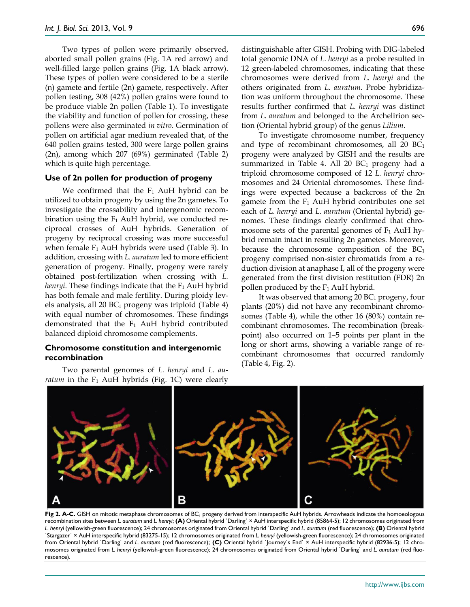Two types of pollen were primarily observed, aborted small pollen grains (Fig. 1A red arrow) and well-filled large pollen grains (Fig. 1A black arrow). These types of pollen were considered to be a sterile (n) gamete and fertile (2n) gamete, respectively. After pollen testing, 308 (42%) pollen grains were found to be produce viable 2n pollen (Table 1). To investigate the viability and function of pollen for crossing, these pollens were also germinated *in vitro*. Germination of pollen on artificial agar medium revealed that, of the 640 pollen grains tested, 300 were large pollen grains (2n), among which 207 (69%) germinated (Table 2) which is quite high percentage.

#### **Use of 2n pollen for production of progeny**

We confirmed that the  $F_1$  AuH hybrid can be utilized to obtain progeny by using the 2n gametes. To investigate the crossability and intergenomic recombination using the  $F_1$  AuH hybrid, we conducted reciprocal crosses of AuH hybrids. Generation of progeny by reciprocal crossing was more successful when female  $F_1$  AuH hybrids were used (Table 3). In addition, crossing with *L. auratum* led to more efficient generation of progeny. Finally, progeny were rarely obtained post-fertilization when crossing with *L. henryi*. These findings indicate that the F<sub>1</sub> AuH hybrid has both female and male fertility. During ploidy levels analysis, all  $20 BC<sub>1</sub>$  progeny was triploid (Table 4) with equal number of chromosomes. These findings demonstrated that the  $F_1$  AuH hybrid contributed balanced diploid chromosome complements.

## **Chromosome constitution and intergenomic recombination**

Two parental genomes of *L. henryi* and *L. auratum* in the  $F_1$  AuH hybrids (Fig. 1C) were clearly distinguishable after GISH. Probing with DIG-labeled total genomic DNA of *L. henryi* as a probe resulted in 12 green-labeled chromosomes, indicating that these chromosomes were derived from *L. henryi* and the others originated from *L. auratum.* Probe hybridization was uniform throughout the chromosome. These results further confirmed that *L. henryi* was distinct from *L. auratum* and belonged to the Archelirion section (Oriental hybrid group) of the genus *Lilium*.

To investigate chromosome number, frequency and type of recombinant chromosomes, all  $20$  BC<sub>1</sub> progeny were analyzed by GISH and the results are summarized in Table 4. All 20  $BC<sub>1</sub>$  progeny had a triploid chromosome composed of 12 *L. henryi* chromosomes and 24 Oriental chromosomes. These findings were expected because a backcross of the 2n gamete from the  $F_1$  AuH hybrid contributes one set each of *L. henryi* and *L. auratum* (Oriental hybrid) genomes. These findings clearly confirmed that chromosome sets of the parental genomes of  $F_1$  AuH hybrid remain intact in resulting 2n gametes. Moreover, because the chromosome composition of the BC1 progeny comprised non-sister chromatids from a reduction division at anaphase I, all of the progeny were generated from the first division restitution (FDR) 2n pollen produced by the  $F_1$  AuH hybrid.

It was observed that among  $20 B<sub>1</sub>$  progeny, four plants (20%) did not have any recombinant chromosomes (Table 4), while the other 16 (80%) contain recombinant chromosomes. The recombination (breakpoint) also occurred on 1–5 points per plant in the long or short arms, showing a variable range of recombinant chromosomes that occurred randomly (Table 4, Fig. 2).



Fig 2. A-C. GISH on mitotic metaphase chromosomes of BC<sub>1</sub> progeny derived from interspecific AuH hybrids. Arrowheads indicate the homoeologous recombination sites between *L. auratum* and *L. henryi*; **(A)** Oriental hybrid `Darling` × AuH interspecific hybrid (85864-5); 12 chromosomes originated from *L. henryi* (yellowish-green fluorescence); 24 chromosomes originated from Oriental hybrid `Darling` and *L. auratum* (red fluorescence); **(B)** Oriental hybrid `Stargazer` × AuH interspecific hybrid (83275-15); 12 chromosomes originated from *L. henryi* (yellowish-green fluorescence); 24 chromosomes originated from Oriental hybrid `Darling` and *L. auratum* (red fluorescence); **(C)** Oriental hybrid `Journey`s End` × AuH interspecific hybrid (82936-5); 12 chromosomes originated from *L. henryi* (yellowish-green fluorescence); 24 chromosomes originated from Oriental hybrid `Darling` and *L. auratum* (red fluorescence).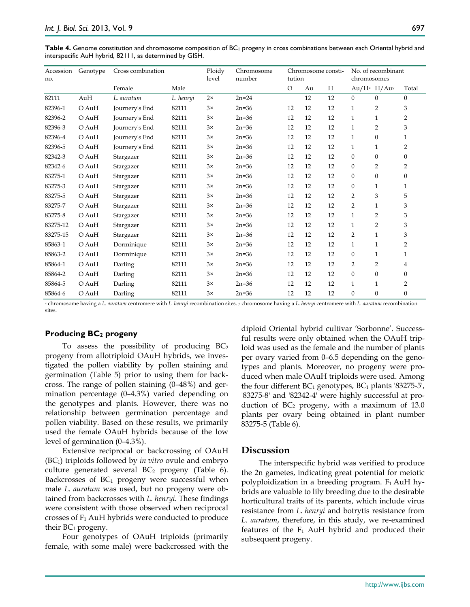**Table 4.** Genome constitution and chromosome composition of BC<sub>1</sub> progeny in cross combinations between each Oriental hybrid and interspecific AuH hybrid, 82111, as determined by GISH.

| Accession<br>no. | Genotype | Cross combination |           | Ploidy<br>level | Chromosome<br>number | Chromosome consti-<br>tution |    |    | No. of recombinant<br>chromosomes |                |                  |
|------------------|----------|-------------------|-----------|-----------------|----------------------|------------------------------|----|----|-----------------------------------|----------------|------------------|
|                  |          | Female            | Male      |                 |                      | O                            | Au | H  |                                   | $Au/H^z$ H/Auy | Total            |
| 82111            | AuH      | L. auratum        | L. henryi | $2\times$       | $2n = 24$            |                              | 12 | 12 | $\overline{0}$                    | $\mathbf{0}$   | $\mathbf{0}$     |
| 82396-1          | O AuH    | Journery's End    | 82111     | 3x              | $2n = 36$            | 12                           | 12 | 12 | $\mathbf{1}$                      | $\overline{2}$ | 3                |
| 82396-2          | $O$ AuH  | Journery's End    | 82111     | $3\times$       | $2n = 36$            | 12                           | 12 | 12 | $\mathbf{1}$                      | $\mathbf{1}$   | 2                |
| 82396-3          | O AuH    | Journery's End    | 82111     | 3x              | $2n = 36$            | 12                           | 12 | 12 | $\mathbf{1}$                      | 2              | 3                |
| 82396-4          | O AuH    | Journery's End    | 82111     | 3x              | $2n = 36$            | 12                           | 12 | 12 | 1                                 | $\mathbf{0}$   | $\mathbf{1}$     |
| 82396-5          | O AuH    | Journery's End    | 82111     | 3x              | $2n = 36$            | 12                           | 12 | 12 | 1                                 | $\mathbf{1}$   | 2                |
| 82342-3          | O AuH    | Stargazer         | 82111     | 3x              | $2n = 36$            | 12                           | 12 | 12 | $\boldsymbol{0}$                  | $\mathbf{0}$   | $\mathbf{0}$     |
| 82342-6          | $O$ AuH  | Stargazer         | 82111     | 3x              | $2n = 36$            | 12                           | 12 | 12 | $\boldsymbol{0}$                  | 2              | 2                |
| 83275-1          | $O$ AuH  | Stargazer         | 82111     | $3\times$       | $2n = 36$            | 12                           | 12 | 12 | $\boldsymbol{0}$                  | $\mathbf{0}$   | $\boldsymbol{0}$ |
| 83275-3          | $O$ AuH  | Stargazer         | 82111     | $3\times$       | $2n = 36$            | 12                           | 12 | 12 | $\boldsymbol{0}$                  | $\mathbf{1}$   | $\mathbf{1}$     |
| 83275-5          | $O$ AuH  | Stargazer         | 82111     | 3x              | $2n = 36$            | 12                           | 12 | 12 | $\overline{2}$                    | 3              | 5                |
| 83275-7          | $O$ AuH  | Stargazer         | 82111     | 3x              | $2n = 36$            | 12                           | 12 | 12 | $\overline{2}$                    | $\mathbf{1}$   | 3                |
| 83275-8          | O AuH    | Stargazer         | 82111     | 3x              | $2n = 36$            | 12                           | 12 | 12 | $\mathbf{1}$                      | $\overline{2}$ | 3                |
| 83275-12         | $O$ AuH  | Stargazer         | 82111     | 3x              | $2n = 36$            | 12                           | 12 | 12 | 1                                 | $\overline{2}$ | 3                |
| 83275-15         | O AuH    | Stargazer         | 82111     | 3x              | $2n = 36$            | 12                           | 12 | 12 | $\overline{2}$                    | $\mathbf{1}$   | 3                |
| 85863-1          | $O$ AuH  | Dorminique        | 82111     | 3x              | $2n = 36$            | 12                           | 12 | 12 | $\mathbf{1}$                      | $\mathbf{1}$   | 2                |
| 85863-2          | $O$ AuH  | Dorminique        | 82111     | 3x              | $2n = 36$            | 12                           | 12 | 12 | $\boldsymbol{0}$                  | $\mathbf{1}$   | $\mathbf{1}$     |
| 85864-1          | $O$ AuH  | Darling           | 82111     | 3x              | $2n = 36$            | 12                           | 12 | 12 | $\overline{2}$                    | $\overline{2}$ | 4                |
| 85864-2          | $O$ AuH  | Darling           | 82111     | 3x              | $2n = 36$            | 12                           | 12 | 12 | $\boldsymbol{0}$                  | $\Omega$       | $\mathbf{0}$     |
| 85864-5          | O AuH    | Darling           | 82111     | 3x              | $2n = 36$            | 12                           | 12 | 12 | 1                                 | $\mathbf{1}$   | $\overline{2}$   |
| 85864-6          | $O$ AuH  | Darling           | 82111     | 3x              | $2n = 36$            | 12                           | 12 | 12 | $\boldsymbol{0}$                  | $\mathbf{0}$   | $\boldsymbol{0}$ |

<sup>z</sup> chromosome having a *L. auratum* centromere with *L. henryi* recombination sites. y chromosome having a *L. henryi* centromere with *L. auratum* recombination sites

## **Producing BC2 progeny**

To assess the possibility of producing  $BC_2$ progeny from allotriploid OAuH hybrids, we investigated the pollen viability by pollen staining and germination (Table 5) prior to using them for backcross. The range of pollen staining (0–48%) and germination percentage (0–4.3%) varied depending on the genotypes and plants. However, there was no relationship between germination percentage and pollen viability. Based on these results, we primarily used the female OAuH hybrids because of the low level of germination (0–4.3%).

Extensive reciprocal or backcrossing of OAuH (BC1) triploids followed by *in vitro* ovule and embryo culture generated several BC<sub>2</sub> progeny (Table 6). Backcrosses of  $BC_1$  progeny were successful when male *L. auratum* was used, but no progeny were obtained from backcrosses with *L. henryi.* These findings were consistent with those observed when reciprocal crosses of  $F_1$  AuH hybrids were conducted to produce their  $BC_1$  progeny.

Four genotypes of OAuH triploids (primarily female, with some male) were backcrossed with the diploid Oriental hybrid cultivar 'Sorbonne'. Successful results were only obtained when the OAuH triploid was used as the female and the number of plants per ovary varied from 0–6.5 depending on the genotypes and plants. Moreover, no progeny were produced when male OAuH triploids were used. Among the four different  $BC_1$  genotypes,  $BC_1$  plants '83275-5', '83275-8' and '82342-4' were highly successful at production of  $BC_2$  progeny, with a maximum of 13.0 plants per ovary being obtained in plant number 83275-5 (Table 6).

# **Discussion**

The interspecific hybrid was verified to produce the 2n gametes, indicating great potential for meiotic polyploidization in a breeding program.  $F_1$  AuH hybrids are valuable to lily breeding due to the desirable horticultural traits of its parents, which include virus resistance from *L. henryi* and botrytis resistance from *L. auratum*, therefore, in this study, we re-examined features of the  $F_1$  AuH hybrid and produced their subsequent progeny.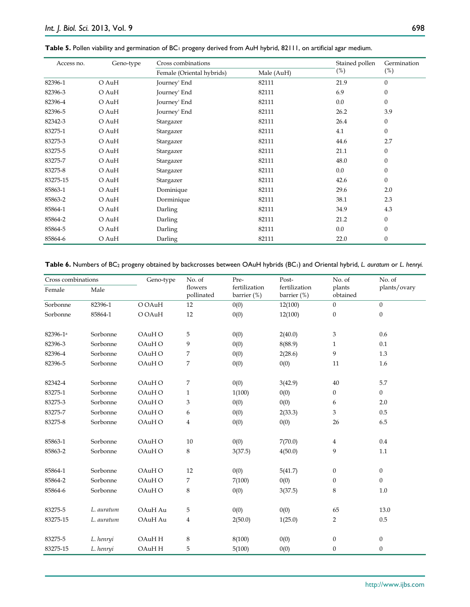| Geno-type<br>Access no. |       | Cross combinations        | Stained pollen | Germination |              |
|-------------------------|-------|---------------------------|----------------|-------------|--------------|
|                         |       | Female (Oriental hybrids) | Male (AuH)     | (%)         | $(\%)$       |
| 82396-1                 | O AuH | Journey' End              | 82111          | 21.9        | $\Omega$     |
| 82396-3                 | O AuH | Journey' End              | 82111          | 6.9         | $\mathbf{0}$ |
| 82396-4                 | O AuH | Journey' End              | 82111          | 0.0         | $\mathbf{0}$ |
| 82396-5                 | O AuH | Journey' End              | 82111          | 26.2        | 3.9          |
| 82342-3                 | O AuH | Stargazer                 | 82111          | 26.4        | $\mathbf{0}$ |
| 83275-1                 | O AuH | Stargazer                 | 82111          | 4.1         | $\Omega$     |
| 83275-3                 | O AuH | Stargazer                 | 82111          | 44.6        | 2.7          |
| 83275-5                 | O AuH | Stargazer                 | 82111          | 21.1        | $\mathbf{0}$ |
| 83275-7                 | O AuH | Stargazer                 | 82111          | 48.0        | $\mathbf{0}$ |
| 83275-8                 | O AuH | Stargazer                 | 82111          | 0.0         | $\mathbf{0}$ |
| 83275-15                | O AuH | Stargazer                 | 82111          | 42.6        | $\mathbf{0}$ |
| 85863-1                 | O AuH | Dominique                 | 82111          | 29.6        | 2.0          |
| 85863-2                 | O AuH | Dorminique                | 82111          | 38.1        | 2.3          |
| 85864-1                 | O AuH | Darling                   | 82111          | 34.9        | 4.3          |
| 85864-2                 | O AuH | Darling                   | 82111          | 21.2        | $\theta$     |
| 85864-5                 | O AuH | Darling                   | 82111          | 0.0         | $\mathbf{0}$ |
| 85864-6                 | O AuH | Darling                   | 82111          | 22.0        | $\mathbf{0}$ |

#### Table 5. Pollen viability and germination of BC<sub>1</sub> progeny derived from AuH hybrid, 82111, on artificial agar medium.

**Table 6.** Numbers of BC2 progeny obtained by backcrosses between OAuH hybrids (BC1) and Oriental hybrid, *L. auratum* or *L*. *henryi.*

| Cross combinations   |            | Geno-type | No. of                | Pre-                         | Post-                        | No. of             | No. of           |
|----------------------|------------|-----------|-----------------------|------------------------------|------------------------------|--------------------|------------------|
| Female               | Male       |           | flowers<br>pollinated | fertilization<br>barrier (%) | fertilization<br>barrier (%) | plants<br>obtained | plants/ovary     |
| Sorbonne             | 82396-1    | O OAuH    | 12                    | 0(0)                         | 12(100)                      | $\overline{0}$     | $\mathbf{0}$     |
| Sorbonne             | 85864-1    | O OAuH    | 12                    | 0(0)                         | 12(100)                      | $\mathbf{0}$       | $\boldsymbol{0}$ |
|                      |            |           |                       |                              |                              |                    |                  |
| 82396-1 <sup>a</sup> | Sorbonne   | OAuH O    | 5                     | 0(0)                         | 2(40.0)                      | 3                  | 0.6              |
| 82396-3              | Sorbonne   | OAuH O    | 9                     | 0(0)                         | 8(88.9)                      | $\mathbf{1}$       | 0.1              |
| 82396-4              | Sorbonne   | OAuH O    | 7                     | 0(0)                         | 2(28.6)                      | 9                  | 1.3              |
| 82396-5              | Sorbonne   | OAuH O    | 7                     | 0(0)                         | 0(0)                         | 11                 | 1.6              |
|                      |            |           |                       |                              |                              |                    |                  |
| 82342-4              | Sorbonne   | OAuH O    | 7                     | 0(0)                         | 3(42.9)                      | 40                 | 5.7              |
| 83275-1              | Sorbonne   | OAuH O    | $\mathbf{1}$          | 1(100)                       | 0(0)                         | 0                  | $\overline{0}$   |
| 83275-3              | Sorbonne   | OAuH O    | 3                     | 0(0)                         | 0(0)                         | 6                  | 2.0              |
| 83275-7              | Sorbonne   | OAuH O    | 6                     | 0(0)                         | 2(33.3)                      | 3                  | 0.5              |
| 83275-8              | Sorbonne   | OAuH O    | $\overline{4}$        | 0(0)                         | 0(0)                         | 26                 | 6.5              |
|                      |            |           |                       |                              |                              |                    |                  |
| 85863-1              | Sorbonne   | OAuH O    | 10                    | 0(0)                         | 7(70.0)                      | 4                  | 0.4              |
| 85863-2              | Sorbonne   | OAuH O    | 8                     | 3(37.5)                      | 4(50.0)                      | 9                  | 1.1              |
| 85864-1              | Sorbonne   | OAuH O    | 12                    | 0(0)                         | 5(41.7)                      | $\boldsymbol{0}$   | $\mathbf{0}$     |
| 85864-2              | Sorbonne   | OAuH O    | 7                     | 7(100)                       | 0(0)                         | $\theta$           | $\overline{0}$   |
| 85864-6              | Sorbonne   | OAuH O    | 8                     | 0(0)                         | 3(37.5)                      | 8                  | 1.0              |
|                      |            |           |                       |                              |                              |                    |                  |
| 83275-5              | L. auratum | OAuH Au   | 5                     | 0(0)                         | 0(0)                         | 65                 | 13.0             |
| 83275-15             | L. auratum | OAuH Au   | $\overline{4}$        | 2(50.0)                      | 1(25.0)                      | $\overline{2}$     | $0.5\,$          |
|                      |            |           |                       |                              |                              |                    |                  |
| 83275-5              | L. henryi  | OAuH H    | 8                     | 8(100)                       | 0(0)                         | $\boldsymbol{0}$   | $\boldsymbol{0}$ |
| 83275-15             | L. henryi  | OAuH H    | 5                     | 5(100)                       | 0(0)                         | $\theta$           | $\boldsymbol{0}$ |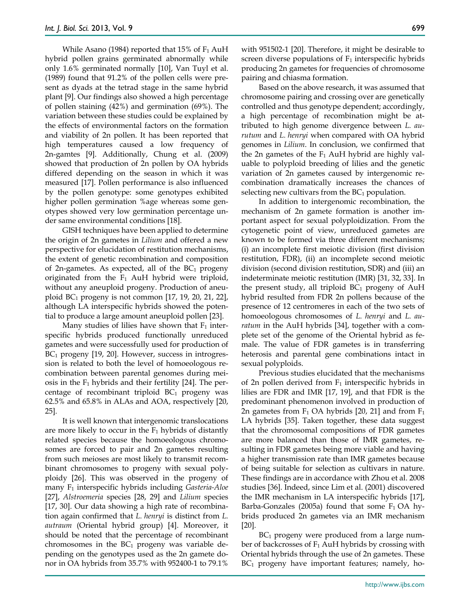While Asano (1984) reported that  $15\%$  of  $F_1$  AuH hybrid pollen grains germinated abnormally while only 1.6% germinated normally [10], Van Tuyl et al. (1989) found that 91.2% of the pollen cells were present as dyads at the tetrad stage in the same hybrid plant [9]. Our findings also showed a high percentage of pollen staining (42%) and germination (69%). The variation between these studies could be explained by the effects of environmental factors on the formation and viability of 2n pollen. It has been reported that high temperatures caused a low frequency of 2n-gamtes [9]. Additionally, Chung et al. (2009) showed that production of 2n pollen by OA hybrids differed depending on the season in which it was measured [17]. Pollen performance is also influenced by the pollen genotype: some genotypes exhibited higher pollen germination %age whereas some genotypes showed very low germination percentage under same environmental conditions [18].

GISH techniques have been applied to determine the origin of 2n gametes in *Lilium* and offered a new perspective for elucidation of restitution mechanisms, the extent of genetic recombination and composition of 2n-gametes. As expected, all of the  $BC_1$  progeny originated from the  $F_1$  AuH hybrid were triploid, without any aneuploid progeny. Production of aneuploid  $BC_1$  progeny is not common [17, 19, 20, 21, 22], although LA interspecific hybrids showed the potential to produce a large amount aneuploid pollen [23].

Many studies of lilies have shown that  $F_1$  interspecific hybrids produced functionally unreduced gametes and were successfully used for production of  $BC<sub>1</sub>$  progeny [19, 20]. However, success in introgression is related to both the level of homoeologous recombination between parental genomes during meiosis in the  $F_1$  hybrids and their fertility [24]. The percentage of recombinant triploid  $BC_1$  progeny was 62.5% and 65.8% in ALAs and AOA, respectively [20, 25].

It is well known that intergenomic translocations are more likely to occur in the  $F_1$  hybrids of distantly related species because the homoeologous chromosomes are forced to pair and 2n gametes resulting from such meioses are most likely to transmit recombinant chromosomes to progeny with sexual polyploidy [26]. This was observed in the progeny of many F1 interspecific hybrids including *Gasteria-Aloe* [27], *Alstroemeria* species [28, 29] and *Lilium* species [17, 30]. Our data showing a high rate of recombination again confirmed that *L. henryi* is distinct from *L. autraum* (Oriental hybrid group) [4]. Moreover, it should be noted that the percentage of recombinant chromosomes in the  $BC_1$  progeny was variable depending on the genotypes used as the 2n gamete donor in OA hybrids from 35.7% with 952400-1 to 79.1%

with 951502-1 [20]. Therefore, it might be desirable to screen diverse populations of  $F_1$  interspecific hybrids producing 2n gametes for frequencies of chromosome pairing and chiasma formation.

Based on the above research, it was assumed that chromosome pairing and crossing over are genetically controlled and thus genotype dependent; accordingly, a high percentage of recombination might be attributed to high genome divergence between *L. aurutum* and *L. henryi* when compared with OA hybrid genomes in *Lilium*. In conclusion, we confirmed that the 2n gametes of the  $F_1$  AuH hybrid are highly valuable to polyploid breeding of lilies and the genetic variation of 2n gametes caused by intergenomic recombination dramatically increases the chances of selecting new cultivars from the  $BC<sub>1</sub>$  population.

In addition to intergenomic recombination, the mechanism of 2n gamete formation is another important aspect for sexual polyploidization. From the cytogenetic point of view, unreduced gametes are known to be formed via three different mechanisms; (i) an incomplete first meiotic division (first division restitution, FDR), (ii) an incomplete second meiotic division (second division restitution, SDR) and (iii) an indeterminate meiotic restitution (IMR) [31, 32, 33]. In the present study, all triploid  $BC_1$  progeny of AuH hybrid resulted from FDR 2n pollens because of the presence of 12 centromeres in each of the two sets of homoeologous chromosomes of *L. henryi* and *L. auratum* in the AuH hybrids [34], together with a complete set of the genome of the Oriental hybrid as female. The value of FDR gametes is in transferring heterosis and parental gene combinations intact in sexual polyploids.

Previous studies elucidated that the mechanisms of 2n pollen derived from  $F_1$  interspecific hybrids in lilies are FDR and IMR [17, 19], and that FDR is the predominant phenomenon involved in production of 2n gametes from  $F_1$  OA hybrids [20, 21] and from  $F_1$ LA hybrids [35]. Taken together, these data suggest that the chromosomal compositions of FDR gametes are more balanced than those of IMR gametes, resulting in FDR gametes being more viable and having a higher transmission rate than IMR gametes because of being suitable for selection as cultivars in nature. These findings are in accordance with Zhou et al. 2008 studies [36]. Indeed, since Lim et al. (2001) discovered the IMR mechanism in LA interspecific hybrids [17], Barba-Gonzales (2005a) found that some  $F_1$  OA hybrids produced 2n gametes via an IMR mechanism [20].

 $BC<sub>1</sub>$  progeny were produced from a large number of backcrosses of  $F_1$  AuH hybrids by crossing with Oriental hybrids through the use of 2n gametes. These  $BC<sub>1</sub>$  progeny have important features; namely, ho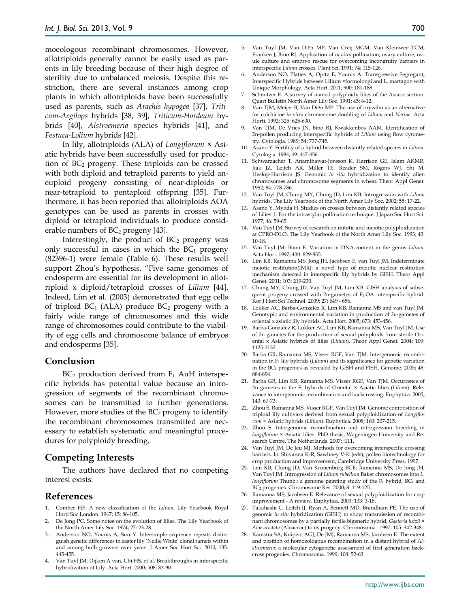moeologous recombinant chromosomes. However, allotriploids generally cannot be easily used as parents in lily breeding because of their high degree of sterility due to unbalanced meiosis. Despite this restriction, there are several instances among crop plants in which allotriploids have been successfully used as parents, such as *Arachis hypogea* [37], *Triticum-Aegilops* hybrids [38, 39], *Triticum-Hordeum* hybrids [40], *Alstroemeria* species hybrids [41], and *Festuca-Lolium* hybrids [42].

In lily, allotriploids (ALA) of *Longiflorum* × Asiatic hybrids have been successfully used for production of  $BC_2$  progeny. These triploids can be crossed with both diploid and tetraploid parents to yield aneuploid progeny consisting of near-diploids or near-tetraploid to pentaploid offspring [35]. Furthermore, it has been reported that allotriploids AOA genotypes can be used as parents in crosses with diploid or tetraploid individuals to produce considerable numbers of  $BC_2$  progeny [43].

Interestingly, the product of  $BC<sub>2</sub>$  progeny was only successful in cases in which the  $BC<sub>1</sub>$  progeny (82396-1) were female (Table 6). These results well support Zhou's hypothesis, "Five same genomes of endosperm are essential for its development in allotriploid x diploid/tetraploid crosses of *Lilium* [44]. Indeed, Lim et al. (2003) demonstrated that egg cells of triploid  $BC_1$  (ALA) produce  $BC_2$  progeny with a fairly wide range of chromosomes and this wide range of chromosomes could contribute to the viability of egg cells and chromosome balance of embryos and endosperms [35].

## **Conclusion**

 $BC<sub>2</sub>$  production derived from  $F<sub>1</sub>$  AuH interspecific hybrids has potential value because an introgression of segments of the recombinant chromosomes can be transmitted to further generations. However, more studies of the  $BC_2$  progeny to identify the recombinant chromosomes transmitted are necessary to establish systematic and meaningful procedures for polyploidy breeding.

# **Competing Interests**

The authors have declared that no competing interest exists.

#### **References**

- 1. Comber HF. A new classification of the *Lilium*. Lily Yearbook Royal Horti Soc London. 1947; 15: 86-105.
- 2. De Jong PC. Some notes on the evolution of lilies. The Lily Yearbook of the North Amer Lily Soc. 1974; 27: 23-28.
- 3. Anderson NO, Younis A, Sun Y. Intersimple sequence repeats distinguish genetic differences in easter lily 'Nellie White' clonal ramets within and among bulb growers over years. J Amer Soc Hort Sci. 2010; 135: 445-455.
- 4. Van Tuyl JM, Dijken A van, Chi HS, et al. Breakthroughs in interspecific hybridization of Lily. Acta Hort. 2000; 508: 83-90.
- 5. Van Tuyl JM, Van Diёn MP, Van Creij MGM, Van Kleinwee TCM, Franken J, Bino RJ. Application of *in vitro* pollination, ovary culture, ovule culture and embryo rescue for overcoming incongruity barriers in interspecific *Lilium* crosses. Plant Sci. 1991; 74: 115-126.
- 6. Anderson NO, Plattes A, Opitz E, Younis A. Transgressive Segregant, Interspecific Hybrids between Lilium ×formolongi and L. martagon with Unique Morphology. Acta Hort. 2011; 900: 181-188.
- 7. Schmitzer E. A survey of named polyploidy lilies of the Asiatic section. Quart Bulletin North Amer Lily Soc. 1991; 45: 6-12.
- 8. Van TJM, Meijer B, Van Diёn MP. The use of oryzalin as an alternative for colchicine *in vitro* chromosome doubling of *Lilium* and *Nerine*. Acta Horti. 1992; 325: 625-630.
- 9. Van TJM, De Vries JN, Bino RJ, Kwakkenbos AAM. Identification of 2n-pollen producing interspecific hybrids of *Lilium* using flow cytometry. Cytologia. 1989; 54: 737-745.
- 10. Asano Y. Fertility of a hybrid between distantly related species in *Lilium*. Cytologia. 1984; 49: 447-456.
- 11. Schwarzacher T, Anamthawat-Jonsson K, Harrison GE, Islam AKMR, Jiak JZ, Leitch AR, Miller TE, Reader SM, Rogers WJ, Shi M, Heslop-Harrison JS. Genomic *in situ* hybridization to identify alien chromosomes and chromosome segments in wheat. Theor Appl Genet. 1992; 84: 778-786.
- 12. Van Tuyl JM, Chung MY, Chung JD, Lim KB. Introgression with *Lilium* hybrids. The Lily Yearbook of the North Amer Lily Soc. 2002; 55: 17-22.
- 13. Asano Y, Myoda H. Studies on crosses between distantly related species of Lilies. I. For the intrastylar pollination technique. J Japan Soc Hort Sci. 1977; 46: 59-65.
- 14. Van Tuyl JM. Survey of research on mitotic and meiotic polyploidization at CPRO-DLO. The Lily Yearbook of the North Amer Lily Soc. 1993; 43: 10-18.
- 15. Van Tuyl JM, Boon E. Variation in DNA-content in the genus *Lilium*. Acta Hort. 1997; 430: 829-835.
- 16. Lim KB, Ramanna MS, Jong JH, Jacobsen E, van Tuyl JM. Indeterminate meiotic restitution(IMR): a novel type of meiotic nuclear restitution mechanism detected in interspecific lily hybrids by GISH. Theor Appl Genet. 2001; 103: 219-230.
- 17. Chung MY, Chung JD, Van Tuyl JM, Lim KB. GISH analysis of subsequent progeny crossed with 2n-gametes of  $F_1$  OA interspecific hybrid. Kor J Hort Sci Technol. 2009; 27: 649 - 656.
- 18. Lokker AC, Barba-Gonzalez R, Lim KB, Ramanna MS and van Tuyl JM. Genotypic and environmental variation in production of *2n*-gametes of oriental x asiatic lily hybrids. Acta Hort. 2005; 673: 453-456.
- 19. Barba-Gonzalez R, Lokker AC, Lim KB, Ramanna MS, Van Tuyl JM. Use of 2n gametes for the production of sexual polyploids from sterile Oriental x Asiatic hybrids of lilies (*Lilium*). Theor Appl Genet. 2004; 109: 1125-1132.
- 20. Barba GR, Ramanna MS, Visser RGF, Van TJM. Intergenomic recombination in F1 lily hybrids (*Lilium*) and its significance for genetic variation in the BC1 progenies as revealed by GISH and FISH. Genome. 2005; 48: 884-894.
- 21. Barba GR, Lim KB, Ramanna MS, Visser RGF, Van TJM. Occurrence of 2n gametes in the F1 hybrids of Oriental × Asiatic lilies (*Lilium*): Relevance to intergenomic recombination and backcrossing. Euphytica. 2005; 143: 67-73.
- 22. Zhou S, Ramanna MS, Visser RGF, Van Tuyl JM. Genome composition of triploid lily cultivars derived from sexual polyploidization of *Longiflorum* × Asiatic hybrids (*Lilium*). Euphytica. 2008; 160: 207-215.
- 23. Zhou S. Intergenomic recombination and introgression breeding in *longiflorum* × Asiatic lilies. PhD thesis, Wageningen University and Research Centre, The Netherlands. 2007; :111.
- 24. Van Tuyl JM, De Jeu MJ. Methods for overcoming interspecific crossing barriers. In: Shivanna K-R, Sawhney V-K (eds), pollen biotechnology for crop production and improvement, Cambridge University Press. 1997.
- 25. Lim KB, Chung JD, Van Kronenburg BCE, Ramanna MS, De Jong JH, Van Tuyl JM. Introgression of *Lilium rubellum* Baker chromosomes into *L. longiflorum* Thunb.: a genome painting study of the F<sub>1</sub> hybrid, BC<sub>1</sub> and BC2 progenies. Chromosome Res. 2000; 8: 119-125.
- 26. Ramanna MS, Jacobsen E. Relevance of sexual polyploidization for crop improvement - A review. Euphytica. 2003; 133: 3-18.
- 27. Takahashi C, Leitch IJ, Ryan A, Bennett MD, Brandham PE. The use of genomic *in situ* hybridization (GISH) to show transmission of recombinant chromosomes by a partially fertile bigeneric hybrid, *Gasteria lutzii* × *Aloe aristata* (Aloaceae) to its progeny. Chromosoma . 1997; 105: 342-348.
- 28. Kamstra SA, Kuipers AGJ, De JMJ, Ramanna MS, Jacobsen E. The extent and position of homoeologous recombination in a distant hybrid of *Alstroemeria*: a molecular cytogenetic assessment of first generation backcross progenies. Chromosoma. 1999; 108: 52-63